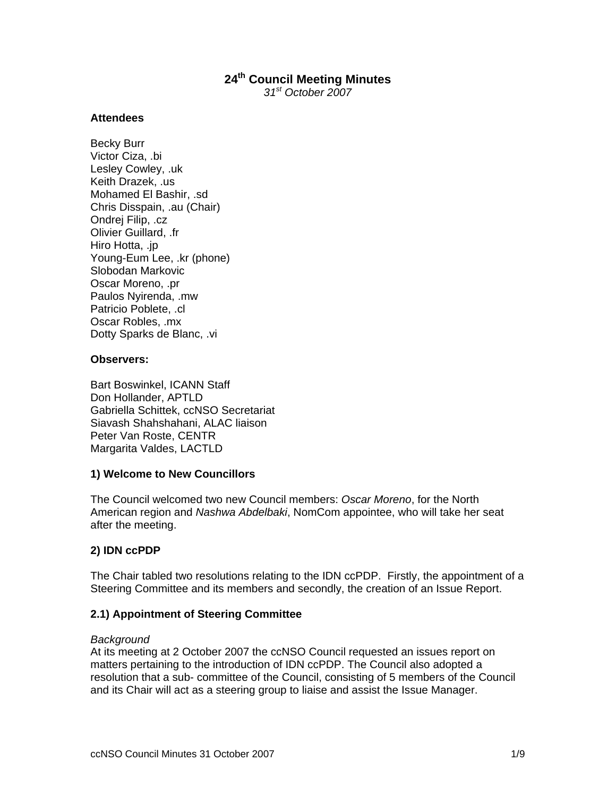# **24th Council Meeting Minutes**

*31st October 2007* 

#### **Attendees**

Becky Burr Victor Ciza, .bi Lesley Cowley, .uk Keith Drazek, .us Mohamed El Bashir, .sd Chris Disspain, .au (Chair) Ondrej Filip, .cz Olivier Guillard, .fr Hiro Hotta, .jp Young-Eum Lee, .kr (phone) Slobodan Markovic Oscar Moreno, .pr Paulos Nyirenda, .mw Patricio Poblete, .cl Oscar Robles, .mx Dotty Sparks de Blanc, .vi

### **Observers:**

Bart Boswinkel, ICANN Staff Don Hollander, APTLD Gabriella Schittek, ccNSO Secretariat Siavash Shahshahani, ALAC liaison Peter Van Roste, CENTR Margarita Valdes, LACTLD

#### **1) Welcome to New Councillors**

The Council welcomed two new Council members: *Oscar Moreno*, for the North American region and *Nashwa Abdelbaki*, NomCom appointee, who will take her seat after the meeting.

# **2) IDN ccPDP**

The Chair tabled two resolutions relating to the IDN ccPDP. Firstly, the appointment of a Steering Committee and its members and secondly, the creation of an Issue Report.

# **2.1) Appointment of Steering Committee**

#### *Background*

At its meeting at 2 October 2007 the ccNSO Council requested an issues report on matters pertaining to the introduction of IDN ccPDP. The Council also adopted a resolution that a sub- committee of the Council, consisting of 5 members of the Council and its Chair will act as a steering group to liaise and assist the Issue Manager.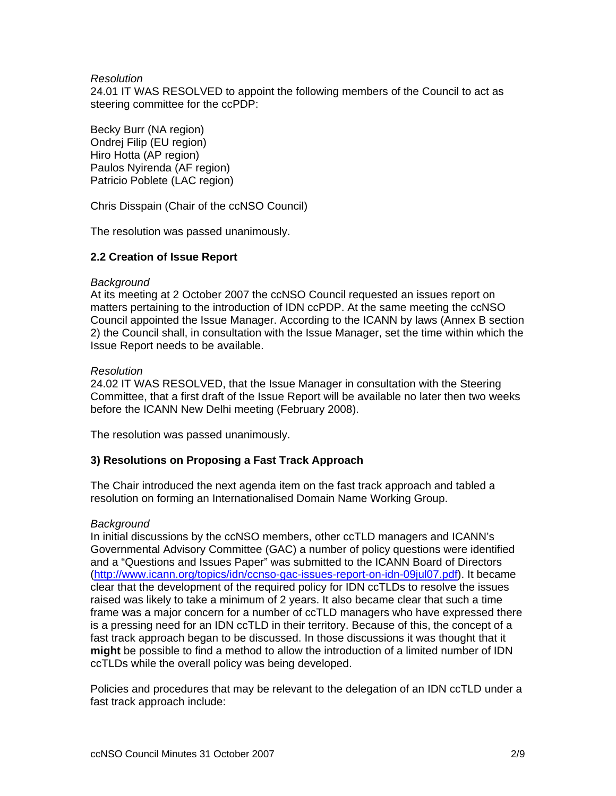### *Resolution*

24.01 IT WAS RESOLVED to appoint the following members of the Council to act as steering committee for the ccPDP:

Becky Burr (NA region) Ondrej Filip (EU region) Hiro Hotta (AP region) Paulos Nyirenda (AF region) Patricio Poblete (LAC region)

Chris Disspain (Chair of the ccNSO Council)

The resolution was passed unanimously.

# **2.2 Creation of Issue Report**

#### *Background*

At its meeting at 2 October 2007 the ccNSO Council requested an issues report on matters pertaining to the introduction of IDN ccPDP. At the same meeting the ccNSO Council appointed the Issue Manager. According to the ICANN by laws (Annex B section 2) the Council shall, in consultation with the Issue Manager, set the time within which the Issue Report needs to be available.

#### *Resolution*

24.02 IT WAS RESOLVED, that the Issue Manager in consultation with the Steering Committee, that a first draft of the Issue Report will be available no later then two weeks before the ICANN New Delhi meeting (February 2008).

The resolution was passed unanimously.

# **3) Resolutions on Proposing a Fast Track Approach**

The Chair introduced the next agenda item on the fast track approach and tabled a resolution on forming an Internationalised Domain Name Working Group.

#### *Background*

In initial discussions by the ccNSO members, other ccTLD managers and ICANN's Governmental Advisory Committee (GAC) a number of policy questions were identified and a "Questions and Issues Paper" was submitted to the ICANN Board of Directors (http://www.icann.org/topics/idn/ccnso-gac-issues-report-on-idn-09jul07.pdf). It became clear that the development of the required policy for IDN ccTLDs to resolve the issues raised was likely to take a minimum of 2 years. It also became clear that such a time frame was a major concern for a number of ccTLD managers who have expressed there is a pressing need for an IDN ccTLD in their territory. Because of this, the concept of a fast track approach began to be discussed. In those discussions it was thought that it **might** be possible to find a method to allow the introduction of a limited number of IDN ccTLDs while the overall policy was being developed.

Policies and procedures that may be relevant to the delegation of an IDN ccTLD under a fast track approach include: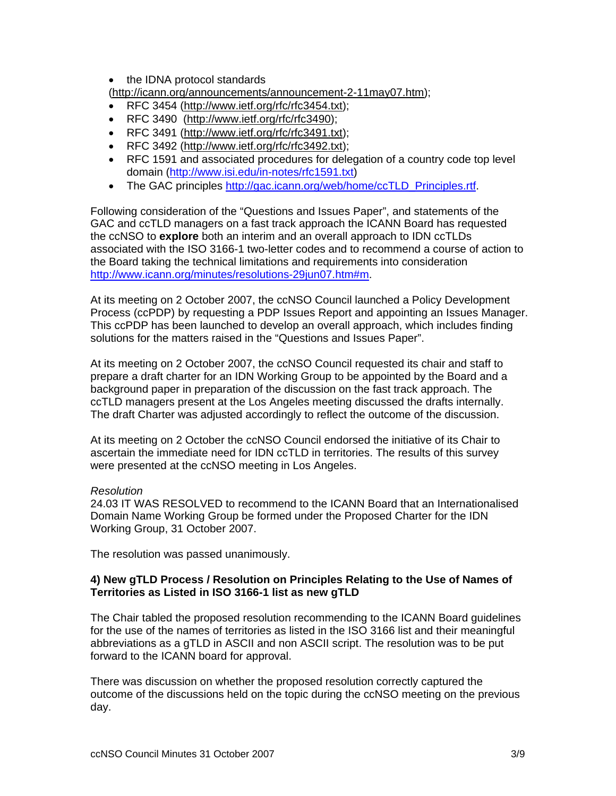• the IDNA protocol standards (http://icann.org/announcements/announcement-2-11may07.htm);

- RFC 3454 (http://www.ietf.org/rfc/rfc3454.txt);
- RFC 3490 (http://www.ietf.org/rfc/rfc3490);
- RFC 3491 (http://www.ietf.org/rfc/rfc3491.txt);
- RFC 3492 (http://www.ietf.org/rfc/rfc3492.txt);
- RFC 1591 and associated procedures for delegation of a country code top level domain (http://www.isi.edu/in-notes/rfc1591.txt)
- The GAC principles http://gac.icann.org/web/home/ccTLD\_Principles.rtf.

Following consideration of the "Questions and Issues Paper", and statements of the GAC and ccTLD managers on a fast track approach the ICANN Board has requested the ccNSO to **explore** both an interim and an overall approach to IDN ccTLDs associated with the ISO 3166-1 two-letter codes and to recommend a course of action to the Board taking the technical limitations and requirements into consideration http://www.icann.org/minutes/resolutions-29jun07.htm#m.

At its meeting on 2 October 2007, the ccNSO Council launched a Policy Development Process (ccPDP) by requesting a PDP Issues Report and appointing an Issues Manager. This ccPDP has been launched to develop an overall approach, which includes finding solutions for the matters raised in the "Questions and Issues Paper".

At its meeting on 2 October 2007, the ccNSO Council requested its chair and staff to prepare a draft charter for an IDN Working Group to be appointed by the Board and a background paper in preparation of the discussion on the fast track approach. The ccTLD managers present at the Los Angeles meeting discussed the drafts internally. The draft Charter was adjusted accordingly to reflect the outcome of the discussion.

At its meeting on 2 October the ccNSO Council endorsed the initiative of its Chair to ascertain the immediate need for IDN ccTLD in territories. The results of this survey were presented at the ccNSO meeting in Los Angeles.

# *Resolution*

24.03 IT WAS RESOLVED to recommend to the ICANN Board that an Internationalised Domain Name Working Group be formed under the Proposed Charter for the IDN Working Group, 31 October 2007.

The resolution was passed unanimously.

# **4) New gTLD Process / Resolution on Principles Relating to the Use of Names of Territories as Listed in ISO 3166-1 list as new gTLD**

The Chair tabled the proposed resolution recommending to the ICANN Board guidelines for the use of the names of territories as listed in the ISO 3166 list and their meaningful abbreviations as a gTLD in ASCII and non ASCII script. The resolution was to be put forward to the ICANN board for approval.

There was discussion on whether the proposed resolution correctly captured the outcome of the discussions held on the topic during the ccNSO meeting on the previous day.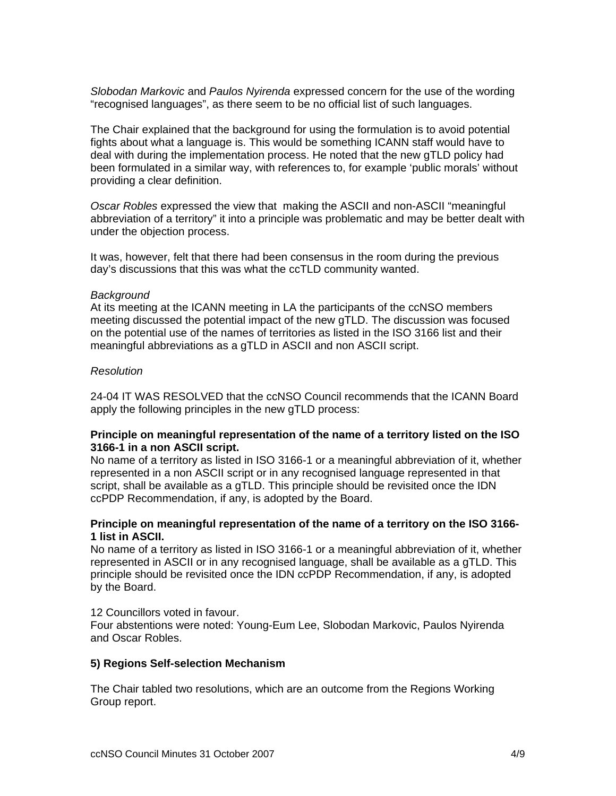*Slobodan Markovic* and *Paulos Nyirenda* expressed concern for the use of the wording "recognised languages", as there seem to be no official list of such languages.

The Chair explained that the background for using the formulation is to avoid potential fights about what a language is. This would be something ICANN staff would have to deal with during the implementation process. He noted that the new gTLD policy had been formulated in a similar way, with references to, for example 'public morals' without providing a clear definition.

*Oscar Robles* expressed the view that making the ASCII and non-ASCII "meaningful abbreviation of a territory" it into a principle was problematic and may be better dealt with under the objection process.

It was, however, felt that there had been consensus in the room during the previous day's discussions that this was what the ccTLD community wanted.

#### *Background*

At its meeting at the ICANN meeting in LA the participants of the ccNSO members meeting discussed the potential impact of the new gTLD. The discussion was focused on the potential use of the names of territories as listed in the ISO 3166 list and their meaningful abbreviations as a gTLD in ASCII and non ASCII script.

### *Resolution*

24-04 IT WAS RESOLVED that the ccNSO Council recommends that the ICANN Board apply the following principles in the new gTLD process:

### **Principle on meaningful representation of the name of a territory listed on the ISO 3166-1 in a non ASCII script.**

No name of a territory as listed in ISO 3166-1 or a meaningful abbreviation of it, whether represented in a non ASCII script or in any recognised language represented in that script, shall be available as a gTLD. This principle should be revisited once the IDN ccPDP Recommendation, if any, is adopted by the Board.

#### **Principle on meaningful representation of the name of a territory on the ISO 3166- 1 list in ASCII.**

No name of a territory as listed in ISO 3166-1 or a meaningful abbreviation of it, whether represented in ASCII or in any recognised language, shall be available as a gTLD. This principle should be revisited once the IDN ccPDP Recommendation, if any, is adopted by the Board.

#### 12 Councillors voted in favour.

Four abstentions were noted: Young-Eum Lee, Slobodan Markovic, Paulos Nyirenda and Oscar Robles.

#### **5) Regions Self-selection Mechanism**

The Chair tabled two resolutions, which are an outcome from the Regions Working Group report.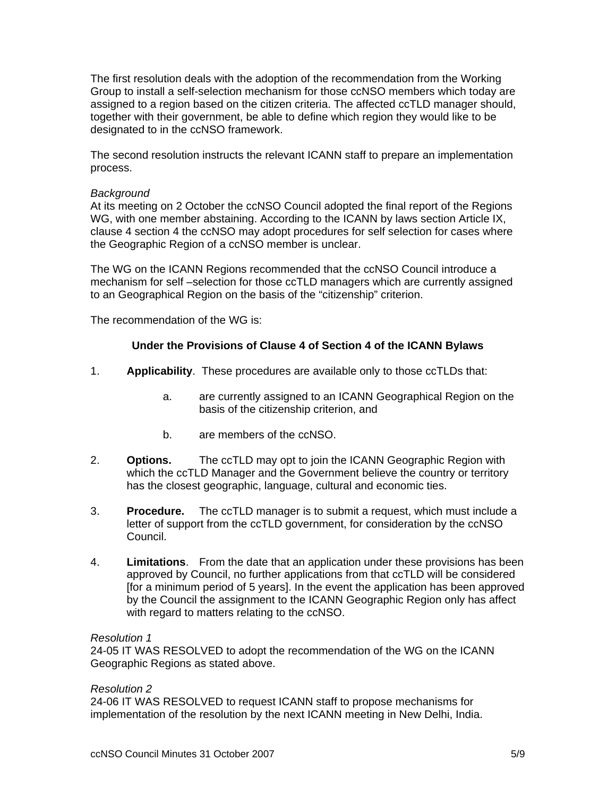The first resolution deals with the adoption of the recommendation from the Working Group to install a self-selection mechanism for those ccNSO members which today are assigned to a region based on the citizen criteria. The affected ccTLD manager should, together with their government, be able to define which region they would like to be designated to in the ccNSO framework.

The second resolution instructs the relevant ICANN staff to prepare an implementation process.

#### *Background*

At its meeting on 2 October the ccNSO Council adopted the final report of the Regions WG, with one member abstaining. According to the ICANN by laws section Article IX, clause 4 section 4 the ccNSO may adopt procedures for self selection for cases where the Geographic Region of a ccNSO member is unclear.

The WG on the ICANN Regions recommended that the ccNSO Council introduce a mechanism for self –selection for those ccTLD managers which are currently assigned to an Geographical Region on the basis of the "citizenship" criterion.

The recommendation of the WG is:

#### **Under the Provisions of Clause 4 of Section 4 of the ICANN Bylaws**

- 1. **Applicability**. These procedures are available only to those ccTLDs that:
	- a. are currently assigned to an ICANN Geographical Region on the basis of the citizenship criterion, and
	- b. are members of the ccNSO.
- 2. **Options.** The ccTLD may opt to join the ICANN Geographic Region with which the ccTLD Manager and the Government believe the country or territory has the closest geographic, language, cultural and economic ties.
- 3. **Procedure.** The ccTLD manager is to submit a request, which must include a letter of support from the ccTLD government, for consideration by the ccNSO Council.
- 4. **Limitations**. From the date that an application under these provisions has been approved by Council, no further applications from that ccTLD will be considered [for a minimum period of 5 years]. In the event the application has been approved by the Council the assignment to the ICANN Geographic Region only has affect with regard to matters relating to the ccNSO.

#### *Resolution 1*

24-05 IT WAS RESOLVED to adopt the recommendation of the WG on the ICANN Geographic Regions as stated above.

#### *Resolution 2*

24-06 IT WAS RESOLVED to request ICANN staff to propose mechanisms for implementation of the resolution by the next ICANN meeting in New Delhi, India.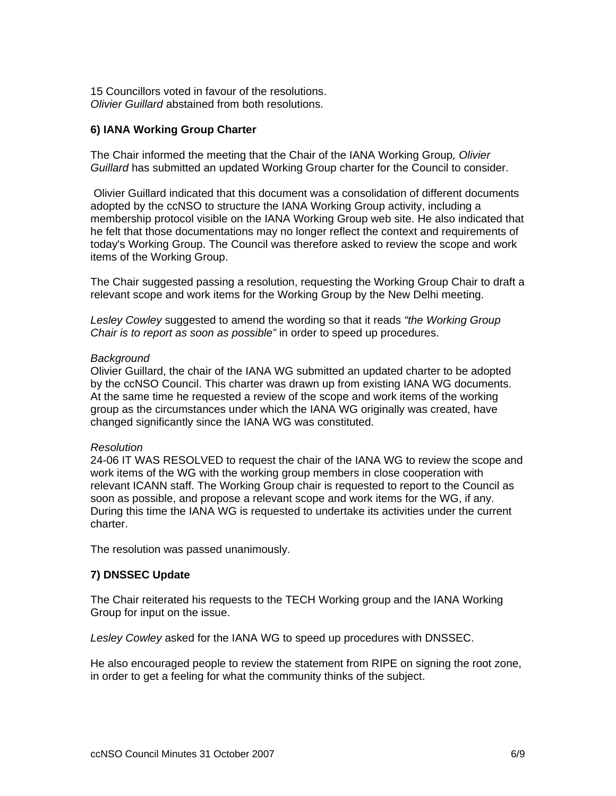15 Councillors voted in favour of the resolutions. *Olivier Guillard* abstained from both resolutions.

# **6) IANA Working Group Charter**

The Chair informed the meeting that the Chair of the IANA Working Group*, Olivier Guillard* has submitted an updated Working Group charter for the Council to consider.

 Olivier Guillard indicated that this document was a consolidation of different documents adopted by the ccNSO to structure the IANA Working Group activity, including a membership protocol visible on the IANA Working Group web site. He also indicated that he felt that those documentations may no longer reflect the context and requirements of today's Working Group. The Council was therefore asked to review the scope and work items of the Working Group.

The Chair suggested passing a resolution, requesting the Working Group Chair to draft a relevant scope and work items for the Working Group by the New Delhi meeting.

*Lesley Cowley* suggested to amend the wording so that it reads *"the Working Group Chair is to report as soon as possible"* in order to speed up procedures.

#### *Background*

Olivier Guillard, the chair of the IANA WG submitted an updated charter to be adopted by the ccNSO Council. This charter was drawn up from existing IANA WG documents. At the same time he requested a review of the scope and work items of the working group as the circumstances under which the IANA WG originally was created, have changed significantly since the IANA WG was constituted.

#### *Resolution*

24-06 IT WAS RESOLVED to request the chair of the IANA WG to review the scope and work items of the WG with the working group members in close cooperation with relevant ICANN staff. The Working Group chair is requested to report to the Council as soon as possible, and propose a relevant scope and work items for the WG, if any. During this time the IANA WG is requested to undertake its activities under the current charter.

The resolution was passed unanimously.

# **7) DNSSEC Update**

The Chair reiterated his requests to the TECH Working group and the IANA Working Group for input on the issue.

*Lesley Cowley* asked for the IANA WG to speed up procedures with DNSSEC.

He also encouraged people to review the statement from RIPE on signing the root zone, in order to get a feeling for what the community thinks of the subject.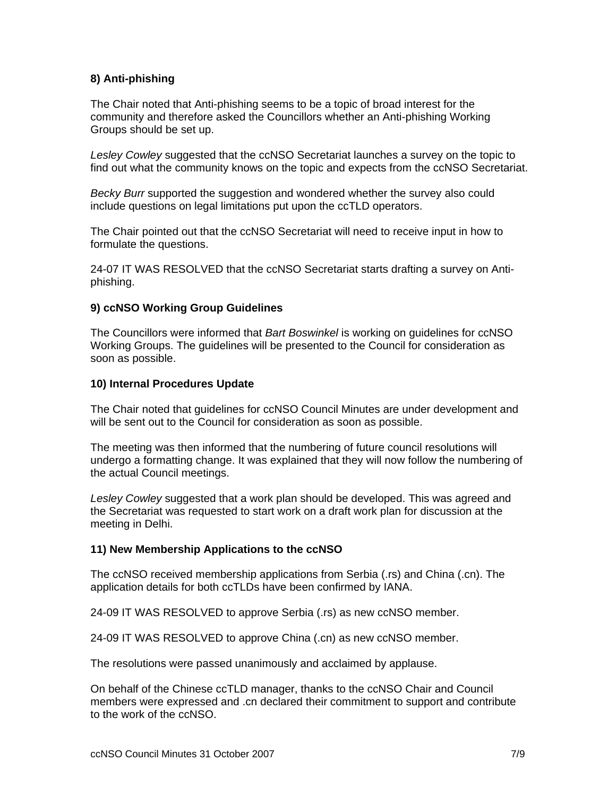# **8) Anti-phishing**

The Chair noted that Anti-phishing seems to be a topic of broad interest for the community and therefore asked the Councillors whether an Anti-phishing Working Groups should be set up.

*Lesley Cowley* suggested that the ccNSO Secretariat launches a survey on the topic to find out what the community knows on the topic and expects from the ccNSO Secretariat.

*Becky Burr* supported the suggestion and wondered whether the survey also could include questions on legal limitations put upon the ccTLD operators.

The Chair pointed out that the ccNSO Secretariat will need to receive input in how to formulate the questions.

24-07 IT WAS RESOLVED that the ccNSO Secretariat starts drafting a survey on Antiphishing.

### **9) ccNSO Working Group Guidelines**

The Councillors were informed that *Bart Boswinkel* is working on guidelines for ccNSO Working Groups. The guidelines will be presented to the Council for consideration as soon as possible.

#### **10) Internal Procedures Update**

The Chair noted that guidelines for ccNSO Council Minutes are under development and will be sent out to the Council for consideration as soon as possible.

The meeting was then informed that the numbering of future council resolutions will undergo a formatting change. It was explained that they will now follow the numbering of the actual Council meetings.

*Lesley Cowley* suggested that a work plan should be developed. This was agreed and the Secretariat was requested to start work on a draft work plan for discussion at the meeting in Delhi.

#### **11) New Membership Applications to the ccNSO**

The ccNSO received membership applications from Serbia (.rs) and China (.cn). The application details for both ccTLDs have been confirmed by IANA.

24-09 IT WAS RESOLVED to approve Serbia (.rs) as new ccNSO member.

24-09 IT WAS RESOLVED to approve China (.cn) as new ccNSO member.

The resolutions were passed unanimously and acclaimed by applause.

On behalf of the Chinese ccTLD manager, thanks to the ccNSO Chair and Council members were expressed and .cn declared their commitment to support and contribute to the work of the ccNSO.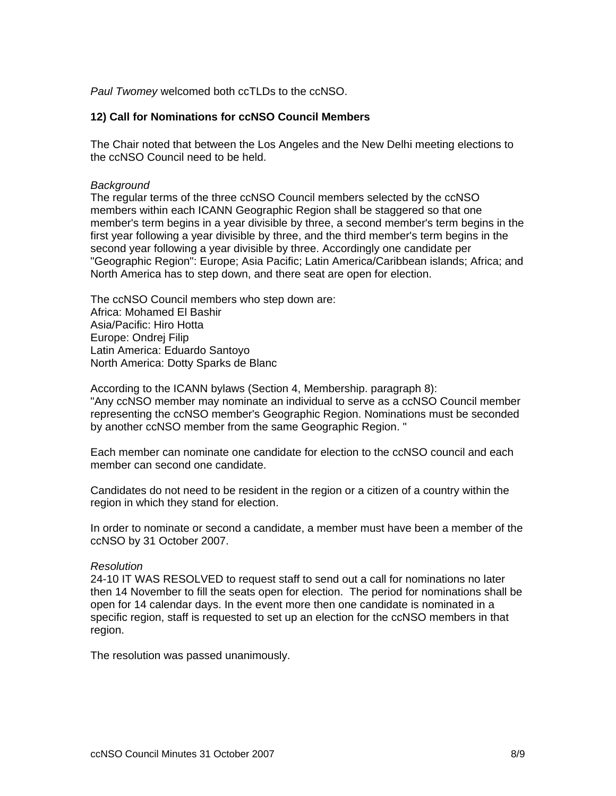*Paul Twomey* welcomed both ccTLDs to the ccNSO.

### **12) Call for Nominations for ccNSO Council Members**

The Chair noted that between the Los Angeles and the New Delhi meeting elections to the ccNSO Council need to be held.

#### *Background*

The regular terms of the three ccNSO Council members selected by the ccNSO members within each ICANN Geographic Region shall be staggered so that one member's term begins in a year divisible by three, a second member's term begins in the first year following a year divisible by three, and the third member's term begins in the second year following a year divisible by three. Accordingly one candidate per "Geographic Region": Europe; Asia Pacific; Latin America/Caribbean islands; Africa; and North America has to step down, and there seat are open for election.

The ccNSO Council members who step down are: Africa: Mohamed El Bashir Asia/Pacific: Hiro Hotta Europe: Ondrej Filip Latin America: Eduardo Santoyo North America: Dotty Sparks de Blanc

According to the ICANN bylaws (Section 4, Membership. paragraph 8): "Any ccNSO member may nominate an individual to serve as a ccNSO Council member representing the ccNSO member's Geographic Region. Nominations must be seconded by another ccNSO member from the same Geographic Region. "

Each member can nominate one candidate for election to the ccNSO council and each member can second one candidate.

Candidates do not need to be resident in the region or a citizen of a country within the region in which they stand for election.

In order to nominate or second a candidate, a member must have been a member of the ccNSO by 31 October 2007.

#### *Resolution*

24-10 IT WAS RESOLVED to request staff to send out a call for nominations no later then 14 November to fill the seats open for election. The period for nominations shall be open for 14 calendar days. In the event more then one candidate is nominated in a specific region, staff is requested to set up an election for the ccNSO members in that region.

The resolution was passed unanimously.